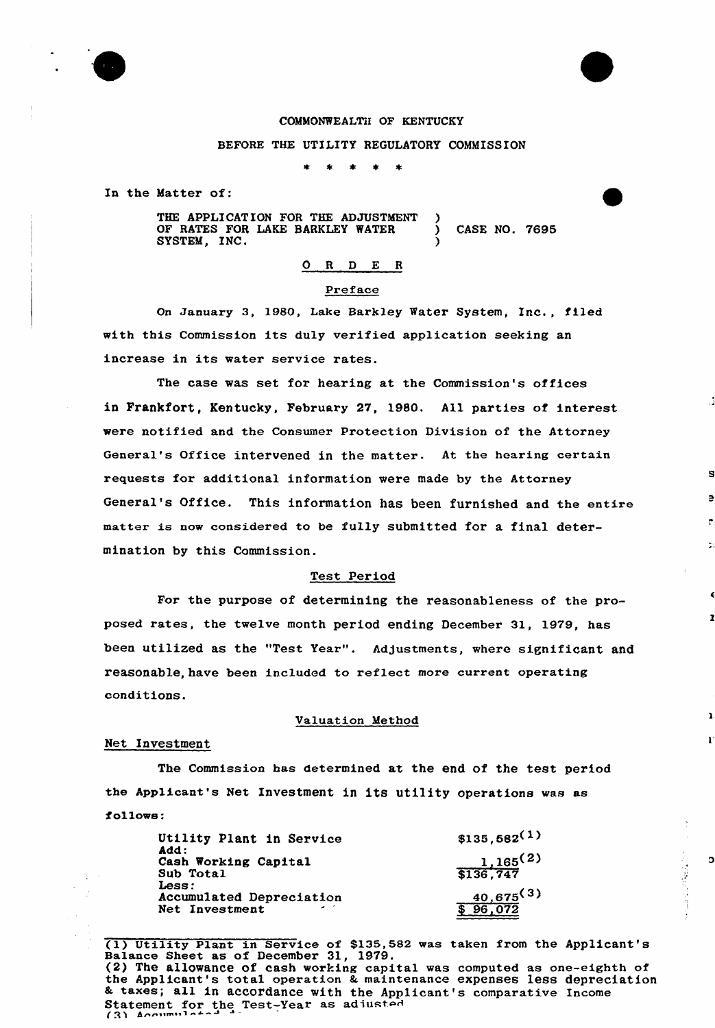

# COMMONWEALTH OF KENTUCKY

#### BEFORE THE UTILITY REGULATORY COMMISSION

In the Matter of:

THE APPLICATION FOR THE ADJUSTMENT OF RATES FOR LAKE BARKLEY WATER ) CASE NO. 7695 SYSTEM, INC.

# O R D E R

## Preface

On january 3, 1980, Lake Barkley Water System, Inc., filed with this Commission its duly verified application seeking an increase in its water service rates.

The case was set for hearing at the Commission's offices in Frankfort, Kentucky, February 27, 1980. All parties of interest were notified and the Consumer Protection Division of the Attorney General's Office intervened in the matter. At the hearing certain requests for additional information were made by the Attorney General's Office. This information has been furnished and the entire matter is now considered to be fully submitted for a final determination by this Commission.

# Test Period

For the purpose of determining the reasonableness of the proposed rates, the twelve month period ending December 31, 1979, has been utilized as the "Test Year". Adjustments, where significant and reasonable, have been included to reflect more current operating conditions.

#### Valuation Method

#### Net Investment

The Commission has determined at the end of the test period the Applicant's Net Investment in its utility operations was as follows:

| Utility Plant in Service<br>Add: | $$135,682^{(1)}$$ |
|----------------------------------|-------------------|
| Cash Working Capital             | 1,165(2)          |
| Sub Total                        | \$136,747         |
| Less:                            |                   |
| <b>Accumulated Depreciation</b>  | 40,675(3)         |
| Net Investment                   | 96,072            |
|                                  |                   |

(1) Utility Plant in Service of \$135,582 was taken from the Applicant's Balance Sheet as of December 31, 1979. (2) The allowance of cash working capital was computed as one-eighth of the Applicant's total operation & maintenance expenses less depreciation <sup>8</sup> taxes; all in accordance with the Applicant's comparative Income Statement for the Test-Year as adiusted  $(3)$  Accumulated

 $\circ$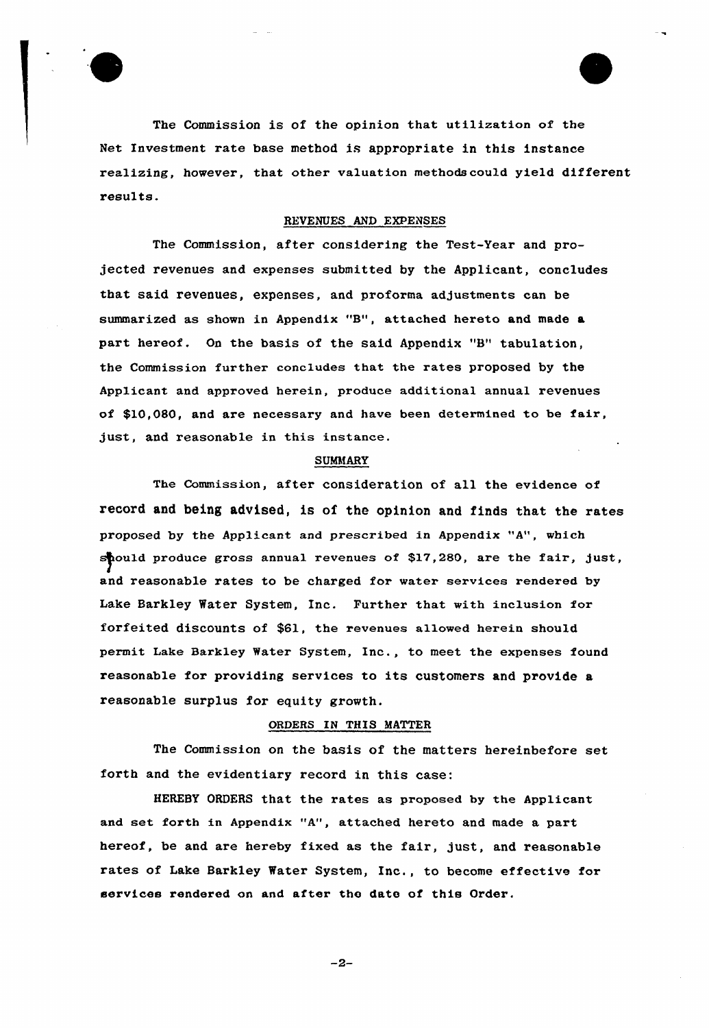

The Commission is of the opinion that utilization of the Net Investment rate base method is appropriate in this instance realizing, however, that other valuation methodscou1d yield different results.

## REVENUES AND EXPENSES

The Commission, after considering the Test-Year and projected revenues and expenses submitted by the Applicant, concludes that said revenues, expenses, and proforma adjustments can be summarized as shown in Appendix "B", attached hereto and made a part hereof. On the basis of the said Appendix "8" tabulation, the Commission further concludes that the rates proposed by the Applicant and approved herein, produce additional annual revenues of \$10,080, and are necessary and have been determined to be fair, just, and reasonable in this instance.

#### SUMMARY

The Commission, after consideration of all the evidence of record and being advised, is of the opinion and finds that the rates proposed by the Applicant and prescribed in Appendix "A", which should produce gross annual revenues of \$17,280, are the fair, just, and reasonable rates to be charged for water services rendered by Lake Barkley Water System, Inc. Further that with inclusion for forfeited discounts of \$61, the revenues allowed herein should permit Lake Barkley Water System, Inc., to meet the expenses found reasonable for providing services to its customers and provide a reasonable surplus for equity growth.

## ORDERS IN THIS MATTER

The Commission on the basis of the matters hereinbefore set forth and the evidentiary record in this case:

HEREBY ORDERS that the rates as proposed by the Applicant and set forth in Appendix "A", attached hereto and made a part hereof, be and are hereby fixed as the fair, just, and reasonable rates of Lake Barkley Water System, Inc., to become effective for services rendered on and after the date of this Order.

 $-2-$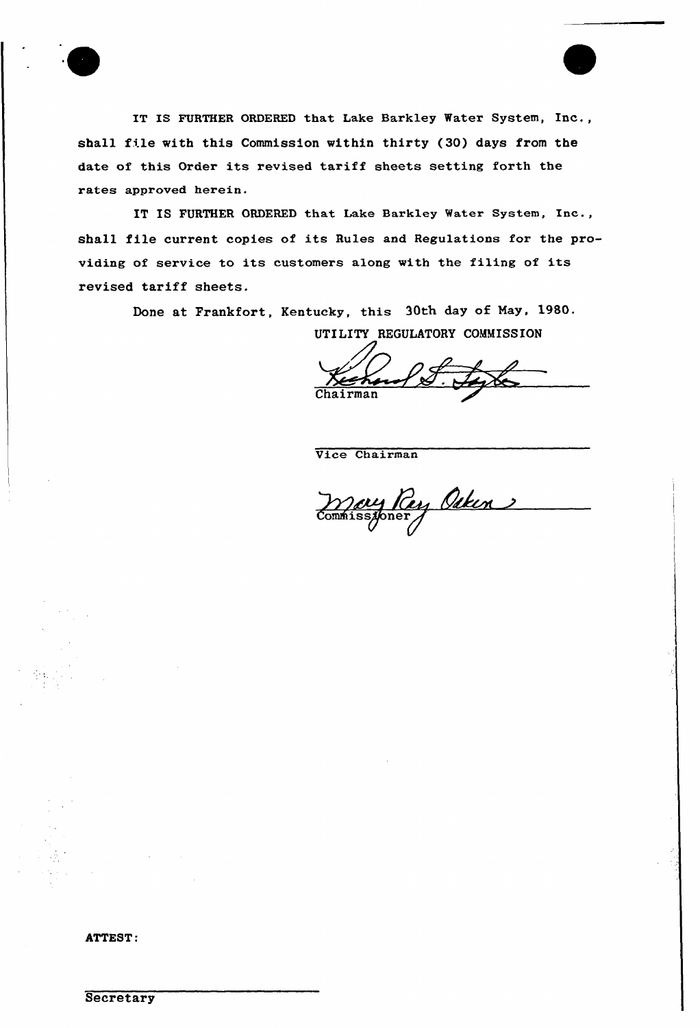IT IS FURTHER ORDERED that Lake Barkley Water System, Inc., shall file with this Commission within thirty (30) days from the date of this Order its revised tariff sheets setting forth the rates approved herein.

IT IS FURTHER ORDERED that Lake Barkley Water System, Inc., shall file current copies of its Rules and Regulations for the providing of service to its customers along with the filing of its revised tariff sheets.

Done at Frankfort, Kentucky, this 30th day of May, 1980.

UTILITY REGULATORY COMMISSION

Chairma

Vice Chairman

<u>May Pay Ocken</u>

ATTEST:

**Secretary**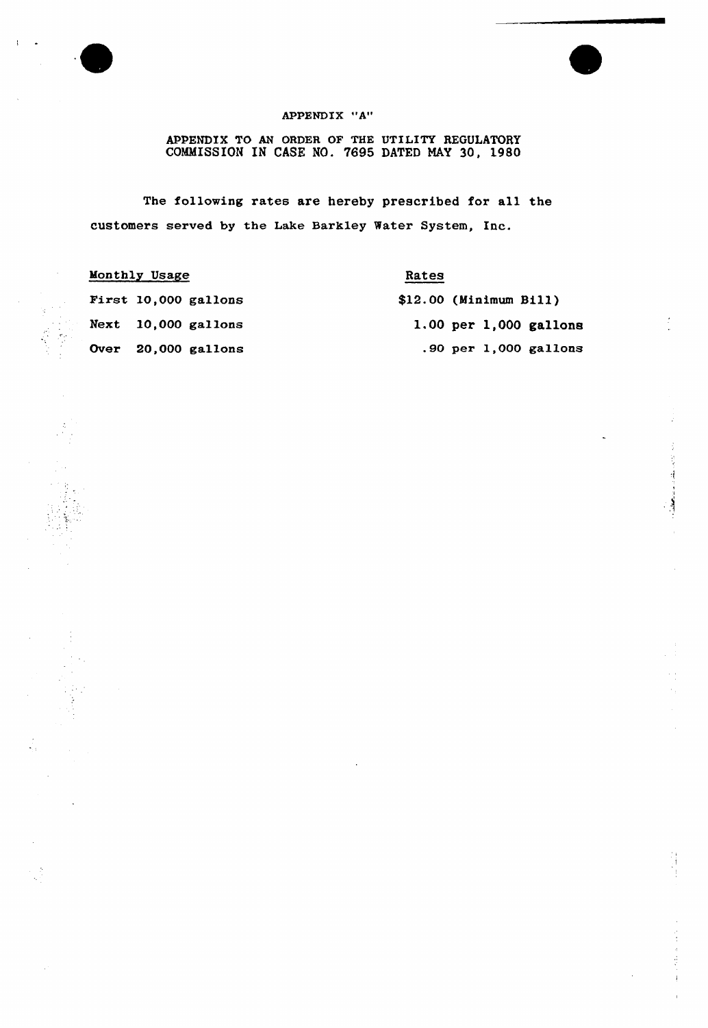

 $\sim$ 

 $\frac{1}{2}$ 

ÿ

 $\mathfrak{r}$ 

# APPENDIX "A"

APPENDIX TO AN ORDER OF THE UTILITY REGULATORY COMMISSION IN CASE NO. 7695 DATED MAY 30, 1980

The following rates are hereby prescribed for all the customers served by the Lake Barkley Water System, Inc.

| Monthly Usage |                      | Rates |                          |
|---------------|----------------------|-------|--------------------------|
|               | First 10,000 gallons |       | $$12.00$ (Minimum Bill)  |
|               | Next 10,000 gallons  |       | $1.00$ per 1,000 gallons |
|               | Over 20,000 gallons  |       | .90 per $1,000$ gallons  |

医腹膜炎

J,

 $\frac{1}{2}$